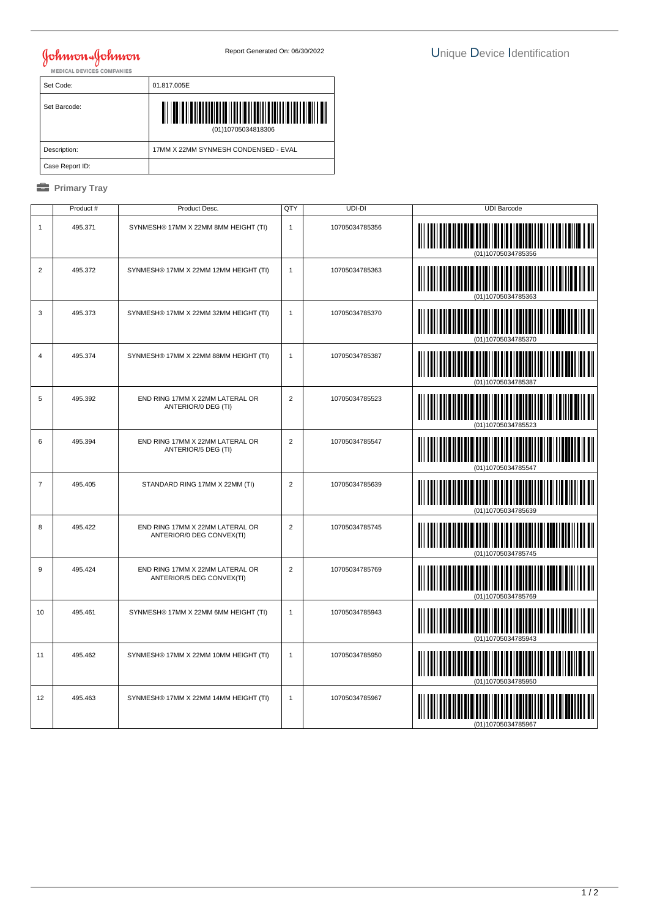## **Johnson & Johnson**

| Set Code:       | 01.817.005E                          |
|-----------------|--------------------------------------|
| Set Barcode:    | Ш<br>(01)10705034818306              |
| Description:    | 17MM X 22MM SYNMESH CONDENSED - EVAL |
| Case Report ID: |                                      |

## *<u><b>* Primary Tray</u>

|                  | Product # | Product Desc.                                                | QTY            | UDI-DI         | <b>UDI Barcode</b> |
|------------------|-----------|--------------------------------------------------------------|----------------|----------------|--------------------|
| $\mathbf{1}$     | 495.371   | SYNMESH® 17MM X 22MM 8MM HEIGHT (TI)                         | $\mathbf{1}$   | 10705034785356 |                    |
| $\overline{2}$   | 495.372   | SYNMESH® 17MM X 22MM 12MM HEIGHT (TI)                        | $\mathbf{1}$   | 10705034785363 | (01)10705034785363 |
| 3                | 495.373   | SYNMESH® 17MM X 22MM 32MM HEIGHT (TI)                        | $\mathbf{1}$   | 10705034785370 |                    |
| $\overline{4}$   | 495.374   | SYNMESH® 17MM X 22MM 88MM HEIGHT (TI)                        | $\mathbf{1}$   | 10705034785387 | (01)10705034785387 |
| 5                | 495.392   | END RING 17MM X 22MM LATERAL OR<br>ANTERIOR/0 DEG (TI)       | $\overline{2}$ | 10705034785523 |                    |
| 6                | 495.394   | END RING 17MM X 22MM LATERAL OR<br>ANTERIOR/5 DEG (TI)       | $\overline{2}$ | 10705034785547 |                    |
| $\overline{7}$   | 495.405   | STANDARD RING 17MM X 22MM (TI)                               | $\overline{2}$ | 10705034785639 |                    |
| 8                | 495.422   | END RING 17MM X 22MM LATERAL OR<br>ANTERIOR/0 DEG CONVEX(TI) | $\overline{2}$ | 10705034785745 |                    |
| $\boldsymbol{9}$ | 495.424   | END RING 17MM X 22MM LATERAL OR<br>ANTERIOR/5 DEG CONVEX(TI) | $\overline{2}$ | 10705034785769 |                    |
| 10               | 495.461   | SYNMESH® 17MM X 22MM 6MM HEIGHT (TI)                         | $\mathbf{1}$   | 10705034785943 |                    |
| 11               | 495.462   | SYNMESH® 17MM X 22MM 10MM HEIGHT (TI)                        | $\mathbf{1}$   | 10705034785950 | (01)10705034785950 |
| 12               | 495.463   | SYNMESH® 17MM X 22MM 14MM HEIGHT (TI)                        | $\mathbf{1}$   | 10705034785967 |                    |